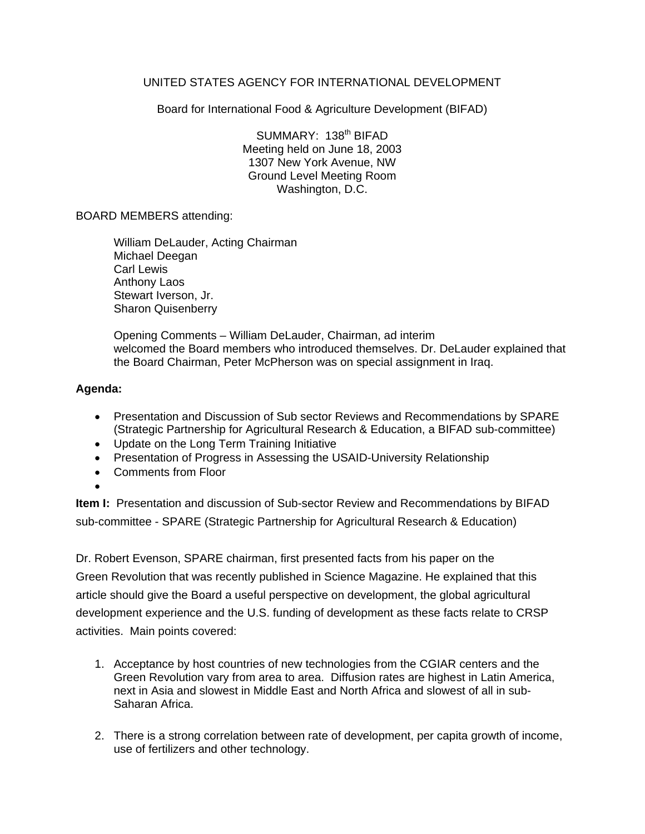# UNITED STATES AGENCY FOR INTERNATIONAL DEVELOPMENT

Board for International Food & Agriculture Development (BIFAD)

SUMMARY: 138<sup>th</sup> BIFAD Meeting held on June 18, 2003 1307 New York Avenue, NW Ground Level Meeting Room Washington, D.C.

## BOARD MEMBERS attending:

William DeLauder, Acting Chairman Michael Deegan Carl Lewis Anthony Laos Stewart Iverson, Jr. Sharon Quisenberry

Opening Comments – William DeLauder, Chairman, ad interim welcomed the Board members who introduced themselves. Dr. DeLauder explained that the Board Chairman, Peter McPherson was on special assignment in Iraq.

## **Agenda:**

- Presentation and Discussion of Sub sector Reviews and Recommendations by SPARE (Strategic Partnership for Agricultural Research & Education, a BIFAD sub-committee)
- Update on the Long Term Training Initiative
- Presentation of Progress in Assessing the USAID-University Relationship
- Comments from Floor
- •

**Item I:** Presentation and discussion of Sub-sector Review and Recommendations by BIFAD sub-committee - SPARE (Strategic Partnership for Agricultural Research & Education)

Dr. Robert Evenson, SPARE chairman, first presented facts from his paper on the Green Revolution that was recently published in Science Magazine. He explained that this article should give the Board a useful perspective on development, the global agricultural development experience and the U.S. funding of development as these facts relate to CRSP activities. Main points covered:

- 1. Acceptance by host countries of new technologies from the CGIAR centers and the Green Revolution vary from area to area. Diffusion rates are highest in Latin America, next in Asia and slowest in Middle East and North Africa and slowest of all in sub-Saharan Africa.
- 2. There is a strong correlation between rate of development, per capita growth of income, use of fertilizers and other technology.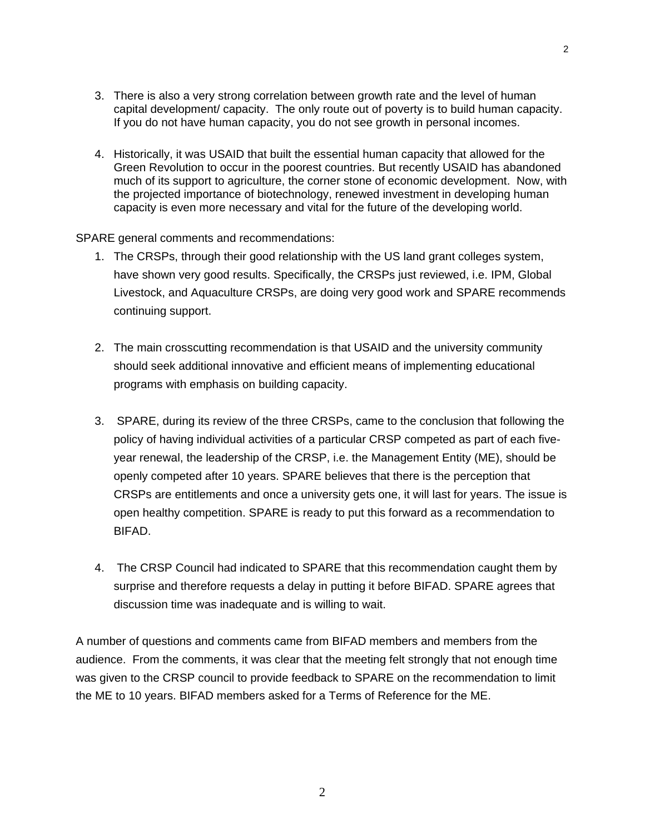3. There is also a very strong correlation between growth rate and the level of human capital development/ capacity. The only route out of poverty is to build human capacity. If you do not have human capacity, you do not see growth in personal incomes.

2

4. Historically, it was USAID that built the essential human capacity that allowed for the Green Revolution to occur in the poorest countries. But recently USAID has abandoned much of its support to agriculture, the corner stone of economic development. Now, with the projected importance of biotechnology, renewed investment in developing human capacity is even more necessary and vital for the future of the developing world.

SPARE general comments and recommendations:

- 1. The CRSPs, through their good relationship with the US land grant colleges system, have shown very good results. Specifically, the CRSPs just reviewed, i.e. IPM, Global Livestock, and Aquaculture CRSPs, are doing very good work and SPARE recommends continuing support.
- 2. The main crosscutting recommendation is that USAID and the university community should seek additional innovative and efficient means of implementing educational programs with emphasis on building capacity.
- 3. SPARE, during its review of the three CRSPs, came to the conclusion that following the policy of having individual activities of a particular CRSP competed as part of each fiveyear renewal, the leadership of the CRSP, i.e. the Management Entity (ME), should be openly competed after 10 years. SPARE believes that there is the perception that CRSPs are entitlements and once a university gets one, it will last for years. The issue is open healthy competition. SPARE is ready to put this forward as a recommendation to BIFAD.
- 4. The CRSP Council had indicated to SPARE that this recommendation caught them by surprise and therefore requests a delay in putting it before BIFAD. SPARE agrees that discussion time was inadequate and is willing to wait.

A number of questions and comments came from BIFAD members and members from the audience. From the comments, it was clear that the meeting felt strongly that not enough time was given to the CRSP council to provide feedback to SPARE on the recommendation to limit the ME to 10 years. BIFAD members asked for a Terms of Reference for the ME.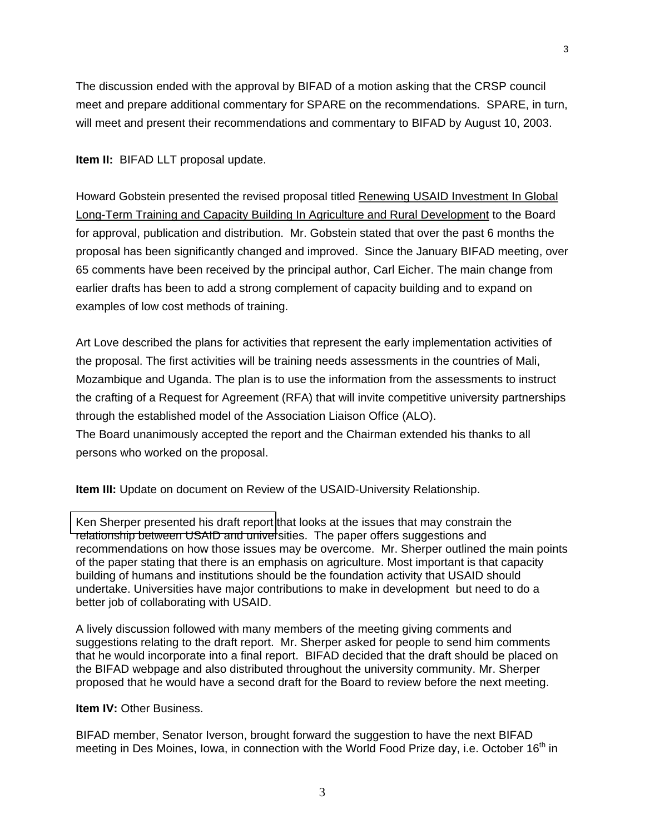The discussion ended with the approval by BIFAD of a motion asking that the CRSP council meet and prepare additional commentary for SPARE on the recommendations. SPARE, in turn, will meet and present their recommendations and commentary to BIFAD by August 10, 2003.

3

**Item II:** BIFAD LLT proposal update.

Howard Gobstein presented the revised proposal titled Renewing USAID Investment In Global Long-Term Training and Capacity Building In Agriculture and Rural Development to the Board for approval, publication and distribution. Mr. Gobstein stated that over the past 6 months the proposal has been significantly changed and improved. Since the January BIFAD meeting, over 65 comments have been received by the principal author, Carl Eicher. The main change from earlier drafts has been to add a strong complement of capacity building and to expand on examples of low cost methods of training.

Art Love described the plans for activities that represent the early implementation activities of the proposal. The first activities will be training needs assessments in the countries of Mali, Mozambique and Uganda. The plan is to use the information from the assessments to instruct the crafting of a Request for Agreement (RFA) that will invite competitive university partnerships through the established model of the Association Liaison Office (ALO). The Board unanimously accepted the report and the Chairman extended his thanks to all persons who worked on the proposal.

**Item III:** Update on document on Review of the USAID-University Relationship.

[Ken Sherper presented his draft report](sherper-strength-partnership-final.pdf) that looks at the issues that may constrain the relationship between USAID and universities. The paper offers suggestions and recommendations on how those issues may be overcome. Mr. Sherper outlined the main points of the paper stating that there is an emphasis on agriculture. Most important is that capacity building of humans and institutions should be the foundation activity that USAID should undertake. Universities have major contributions to make in development but need to do a better job of collaborating with USAID.

A lively discussion followed with many members of the meeting giving comments and suggestions relating to the draft report. Mr. Sherper asked for people to send him comments that he would incorporate into a final report. BIFAD decided that the draft should be placed on the BIFAD webpage and also distributed throughout the university community. Mr. Sherper proposed that he would have a second draft for the Board to review before the next meeting.

#### **Item IV:** Other Business.

BIFAD member, Senator Iverson, brought forward the suggestion to have the next BIFAD meeting in Des Moines, Iowa, in connection with the World Food Prize day, i.e. October 16<sup>th</sup> in